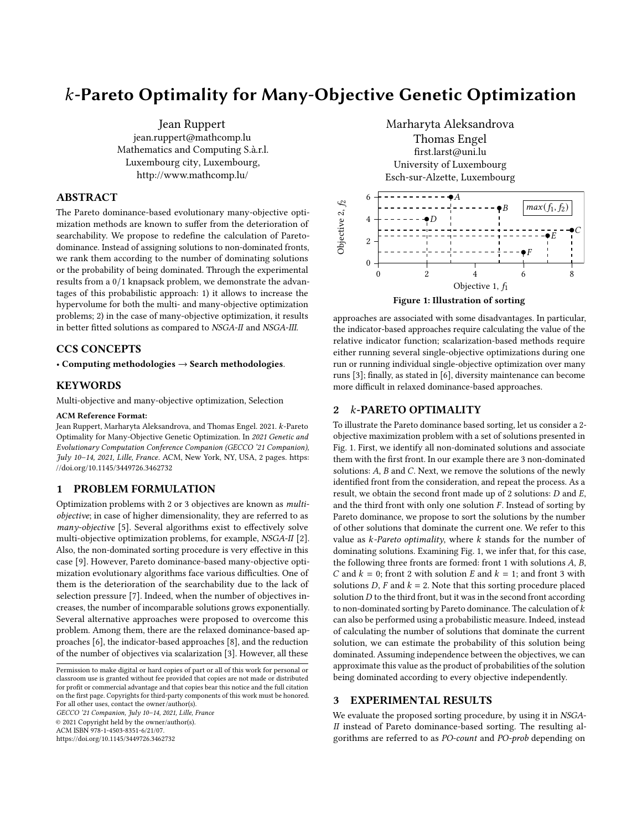# $k$ -Pareto Optimality for Many-Objective Genetic Optimization

Jean Ruppert jean.ruppert@mathcomp.lu Mathematics and Computing S.à.r.l. Luxembourg city, Luxembourg, <http://www.mathcomp.lu/>

## ABSTRACT

The Pareto dominance-based evolutionary many-objective optimization methods are known to suffer from the deterioration of searchability. We propose to redefine the calculation of Paretodominance. Instead of assigning solutions to non-dominated fronts, we rank them according to the number of dominating solutions or the probability of being dominated. Through the experimental results from a 0/1 knapsack problem, we demonstrate the advantages of this probabilistic approach: 1) it allows to increase the hypervolume for both the multi- and many-objective optimization problems; 2) in the case of many-objective optimization, it results in better fitted solutions as compared to NSGA-II and NSGA-III.

## CCS CONCEPTS

• Computing methodologies  $\rightarrow$  Search methodologies.

## KEYWORDS

Multi-objective and many-objective optimization, Selection

#### ACM Reference Format:

Jean Ruppert, Marharyta Aleksandrova, and Thomas Engel. 2021. k-Pareto Optimality for Many-Objective Genetic Optimization. In 2021 Genetic and Evolutionary Computation Conference Companion (GECCO '21 Companion), July 10–14, 2021, Lille, France. ACM, New York, NY, USA, [2](#page-1-0) pages. [https:](https://doi.org/10.1145/3449726.3462732) [//doi.org/10.1145/3449726.3462732](https://doi.org/10.1145/3449726.3462732)

### 1 PROBLEM FORMULATION

Optimization problems with 2 or 3 objectives are known as multiobjective; in case of higher dimensionality, they are referred to as many-objective [\[5\]](#page-1-1). Several algorithms exist to effectively solve multi-objective optimization problems, for example, NSGA-II [\[2\]](#page-1-2). Also, the non-dominated sorting procedure is very effective in this case [\[9\]](#page-1-3). However, Pareto dominance-based many-objective optimization evolutionary algorithms face various difficulties. One of them is the deterioration of the searchability due to the lack of selection pressure [\[7\]](#page-1-4). Indeed, when the number of objectives increases, the number of incomparable solutions grows exponentially. Several alternative approaches were proposed to overcome this problem. Among them, there are the relaxed dominance-based approaches [\[6\]](#page-1-5), the indicator-based approaches [\[8\]](#page-1-6), and the reduction of the number of objectives via scalarization [\[3\]](#page-1-7). However, all these

GECCO '21 Companion, July 10–14, 2021, Lille, France © 2021 Copyright held by the owner/author(s). ACM ISBN 978-1-4503-8351-6/21/07.

<https://doi.org/10.1145/3449726.3462732>

<span id="page-0-0"></span>

approaches are associated with some disadvantages. In particular, the indicator-based approaches require calculating the value of the relative indicator function; scalarization-based methods require either running several single-objective optimizations during one run or running individual single-objective optimization over many runs [\[3\]](#page-1-7); finally, as stated in [\[6\]](#page-1-5), diversity maintenance can become more difficult in relaxed dominance-based approaches.

## 2 k-PARETO OPTIMALITY

To illustrate the Pareto dominance based sorting, let us consider a 2 objective maximization problem with a set of solutions presented in Fig. [1.](#page-0-0) First, we identify all non-dominated solutions and associate them with the first front. In our example there are 3 non-dominated solutions:  $A$ ,  $B$  and  $C$ . Next, we remove the solutions of the newly identified front from the consideration, and repeat the process. As a result, we obtain the second front made up of 2 solutions:  $D$  and  $E$ , and the third front with only one solution  $F$ . Instead of sorting by Pareto dominance, we propose to sort the solutions by the number of other solutions that dominate the current one. We refer to this value as  $k$ -Pareto optimality, where  $k$  stands for the number of dominating solutions. Examining Fig. [1,](#page-0-0) we infer that, for this case, the following three fronts are formed: front 1 with solutions  $A$ ,  $B$ , C and  $k = 0$ ; front 2 with solution  $E$  and  $k = 1$ ; and front 3 with solutions D, F and  $k = 2$ . Note that this sorting procedure placed solution  $D$  to the third front, but it was in the second front according to non-dominated sorting by Pareto dominance. The calculation of  $k$ can also be performed using a probabilistic measure. Indeed, instead of calculating the number of solutions that dominate the current solution, we can estimate the probability of this solution being dominated. Assuming independence between the objectives, we can approximate this value as the product of probabilities of the solution being dominated according to every objective independently.

## 3 EXPERIMENTAL RESULTS

We evaluate the proposed sorting procedure, by using it in NSGA-II instead of Pareto dominance-based sorting. The resulting algorithms are referred to as PO-count and PO-prob depending on

Permission to make digital or hard copies of part or all of this work for personal or classroom use is granted without fee provided that copies are not made or distributed for profit or commercial advantage and that copies bear this notice and the full citation on the first page. Copyrights for third-party components of this work must be honored. For all other uses, contact the owner/author(s).